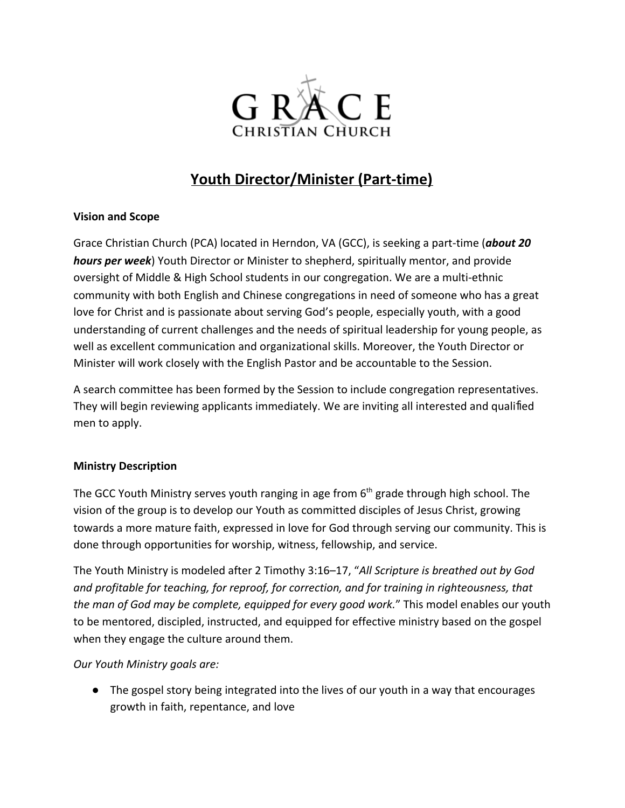

# **Youth Director/Minister (Part-time)**

## **Vision and Scope**

Grace Christian Church (PCA) located in Herndon, VA (GCC), is seeking a part-time (*about 20 hours per week*) Youth Director or Minister to shepherd, spiritually mentor, and provide oversight of Middle & High School students in our congregation. We are a multi-ethnic community with both English and Chinese congregations in need of someone who has a great love for Christ and is passionate about serving God's people, especially youth, with a good understanding of current challenges and the needs of spiritual leadership for young people, as well as excellent communication and organizational skills. Moreover, the Youth Director or Minister will work closely with the English Pastor and be accountable to the Session.

A search committee has been formed by the Session to include congregation representatives. They will begin reviewing applicants immediately. We are inviting all interested and qualified men to apply.

# **Ministry Description**

The GCC Youth Ministry serves youth ranging in age from 6<sup>th</sup> grade through high school. The vision of the group is to develop our Youth as committed disciples of Jesus Christ, growing towards a more mature faith, expressed in love for God through serving our community. This is done through opportunities for worship, witness, fellowship, and service.

The Youth Ministry is modeled after 2 Timothy 3:16–17, "*All Scripture is breathed out by God and profitable for teaching, for reproof, for correction, and for training in righteousness, that the man of God may be complete, equipped for every good work.*" This model enables our youth to be mentored, discipled, instructed, and equipped for effective ministry based on the gospel when they engage the culture around them.

*Our Youth Ministry goals are:*

● The gospel story being integrated into the lives of our youth in a way that encourages growth in faith, repentance, and love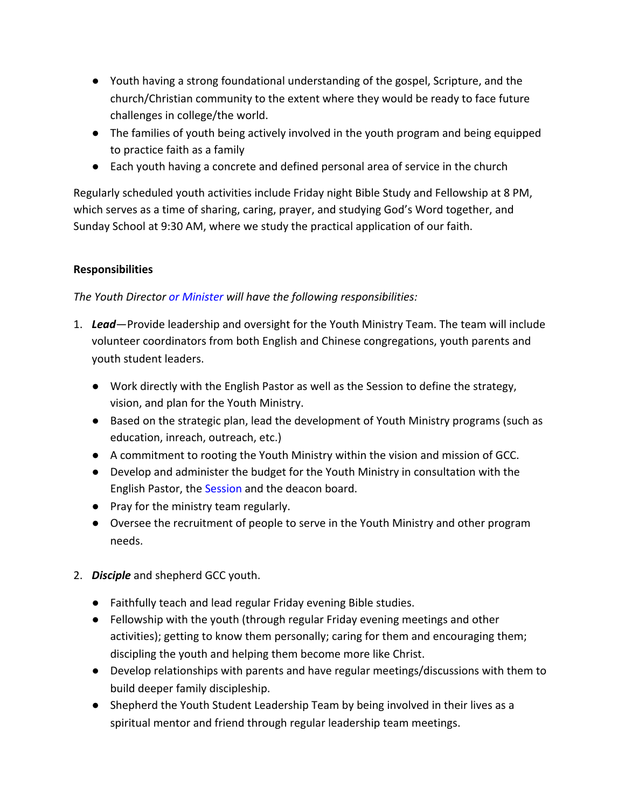- Youth having a strong foundational understanding of the gospel, Scripture, and the church/Christian community to the extent where they would be ready to face future challenges in college/the world.
- The families of youth being actively involved in the youth program and being equipped to practice faith as a family
- Each youth having a concrete and defined personal area of service in the church

Regularly scheduled youth activities include Friday night Bible Study and Fellowship at 8 PM, which serves as a time of sharing, caring, prayer, and studying God's Word together, and Sunday School at 9:30 AM, where we study the practical application of our faith.

## **Responsibilities**

## *The Youth Director or Minister will have the following responsibilities:*

- 1. *Lead*—Provide leadership and oversight for the Youth Ministry Team. The team will include volunteer coordinators from both English and Chinese congregations, youth parents and youth student leaders.
	- Work directly with the English Pastor as well as the Session to define the strategy, vision, and plan for the Youth Ministry.
	- Based on the strategic plan, lead the development of Youth Ministry programs (such as education, inreach, outreach, etc.)
	- A commitment to rooting the Youth Ministry within the vision and mission of GCC.
	- Develop and administer the budget for the Youth Ministry in consultation with the English Pastor, the Session and the deacon board.
	- Pray for the ministry team regularly.
	- Oversee the recruitment of people to serve in the Youth Ministry and other program needs.
- 2. *Disciple* and shepherd GCC youth.
	- Faithfully teach and lead regular Friday evening Bible studies.
	- Fellowship with the youth (through regular Friday evening meetings and other activities); getting to know them personally; caring for them and encouraging them; discipling the youth and helping them become more like Christ.
	- Develop relationships with parents and have regular meetings/discussions with them to build deeper family discipleship.
	- Shepherd the Youth Student Leadership Team by being involved in their lives as a spiritual mentor and friend through regular leadership team meetings.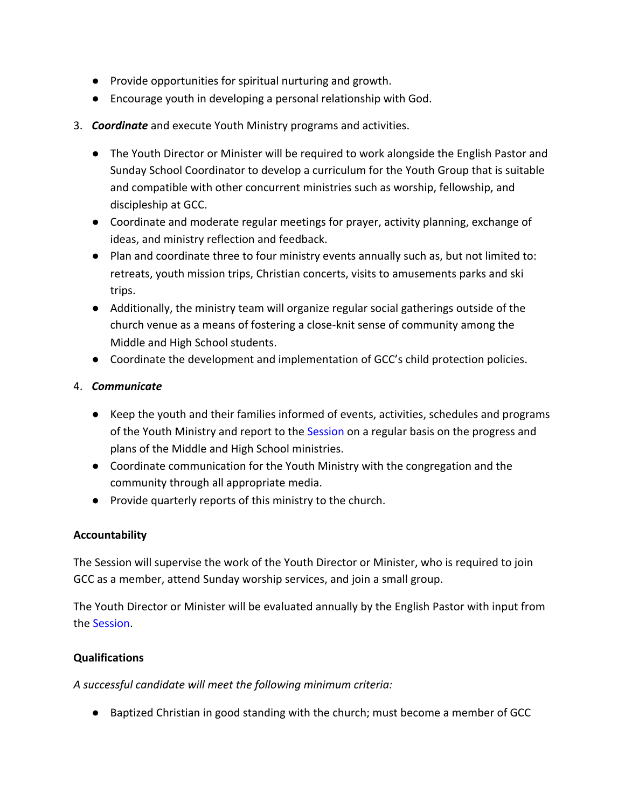- Provide opportunities for spiritual nurturing and growth.
- Encourage youth in developing a personal relationship with God.
- 3. *Coordinate* and execute Youth Ministry programs and activities.
	- The Youth Director or Minister will be required to work alongside the English Pastor and Sunday School Coordinator to develop a curriculum for the Youth Group that is suitable and compatible with other concurrent ministries such as worship, fellowship, and discipleship at GCC.
	- Coordinate and moderate regular meetings for prayer, activity planning, exchange of ideas, and ministry reflection and feedback.
	- Plan and coordinate three to four ministry events annually such as, but not limited to: retreats, youth mission trips, Christian concerts, visits to amusements parks and ski trips.
	- Additionally, the ministry team will organize regular social gatherings outside of the church venue as a means of fostering a close-knit sense of community among the Middle and High School students.
	- Coordinate the development and implementation of GCC's child protection policies.

## 4. *Communicate*

- Keep the youth and their families informed of events, activities, schedules and programs of the Youth Ministry and report to the Session on a regular basis on the progress and plans of the Middle and High School ministries.
- Coordinate communication for the Youth Ministry with the congregation and the community through all appropriate media.
- Provide quarterly reports of this ministry to the church.

# **Accountability**

The Session will supervise the work of the Youth Director or Minister, who is required to join GCC as a member, attend Sunday worship services, and join a small group.

The Youth Director or Minister will be evaluated annually by the English Pastor with input from the Session.

#### **Qualifications**

*A successful candidate will meet the following minimum criteria:*

● Baptized Christian in good standing with the church; must become a member of GCC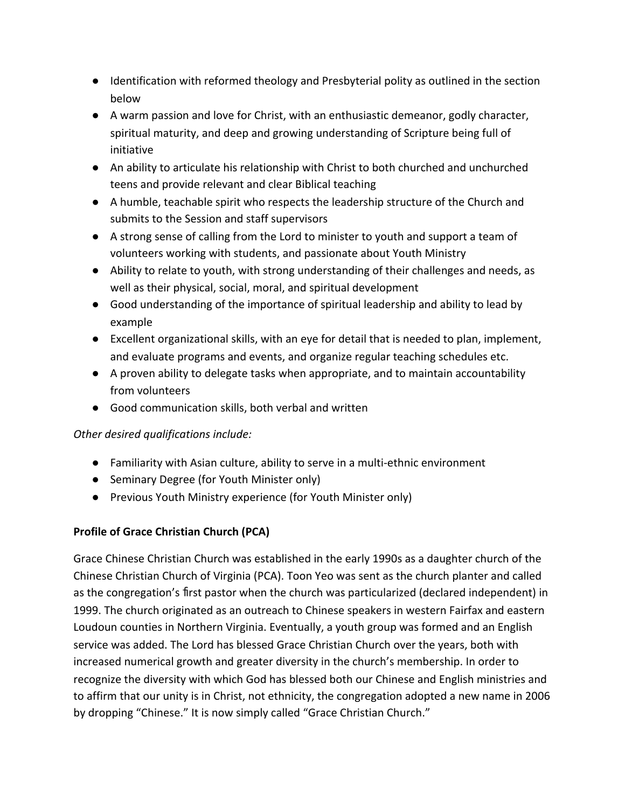- Identification with reformed theology and Presbyterial polity as outlined in the section below
- A warm passion and love for Christ, with an enthusiastic demeanor, godly character, spiritual maturity, and deep and growing understanding of Scripture being full of initiative
- An ability to articulate his relationship with Christ to both churched and unchurched teens and provide relevant and clear Biblical teaching
- A humble, teachable spirit who respects the leadership structure of the Church and submits to the Session and staff supervisors
- A strong sense of calling from the Lord to minister to youth and support a team of volunteers working with students, and passionate about Youth Ministry
- Ability to relate to youth, with strong understanding of their challenges and needs, as well as their physical, social, moral, and spiritual development
- Good understanding of the importance of spiritual leadership and ability to lead by example
- Excellent organizational skills, with an eye for detail that is needed to plan, implement, and evaluate programs and events, and organize regular teaching schedules etc.
- A proven ability to delegate tasks when appropriate, and to maintain accountability from volunteers
- Good communication skills, both verbal and written

# *Other desired qualifications include:*

- Familiarity with Asian culture, ability to serve in a multi-ethnic environment
- Seminary Degree (for Youth Minister only)
- Previous Youth Ministry experience (for Youth Minister only)

# **Profile of Grace Christian Church (PCA)**

Grace Chinese Christian Church was established in the early 1990s as a daughter church of the Chinese Christian Church of Virginia (PCA). Toon Yeo was sent as the church planter and called as the congregation's first pastor when the church was particularized (declared independent) in 1999. The church originated as an outreach to Chinese speakers in western Fairfax and eastern Loudoun counties in Northern Virginia. Eventually, a youth group was formed and an English service was added. The Lord has blessed Grace Christian Church over the years, both with increased numerical growth and greater diversity in the church's membership. In order to recognize the diversity with which God has blessed both our Chinese and English ministries and to affirm that our unity is in Christ, not ethnicity, the congregation adopted a new name in 2006 by dropping "Chinese." It is now simply called "Grace Christian Church."